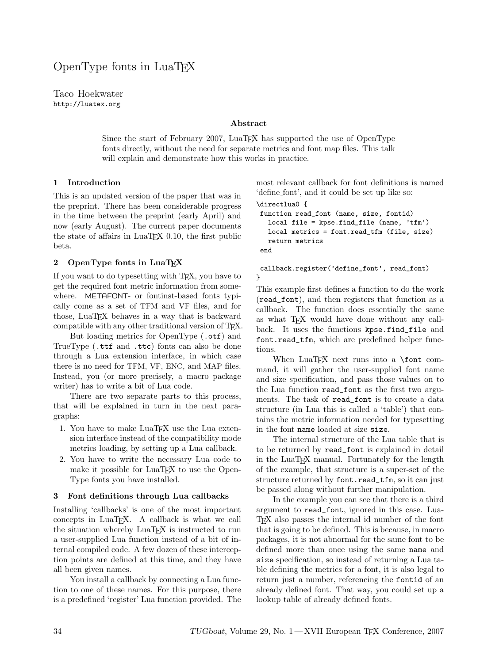# OpenType fonts in LuaTEX

Taco Hoekwater http://luatex.org

#### Abstract

Since the start of February 2007, LuaTEX has supported the use of OpenType fonts directly, without the need for separate metrics and font map files. This talk will explain and demonstrate how this works in practice.

### 1 Introduction

This is an updated version of the paper that was in the preprint. There has been considerable progress in the time between the preprint (early April) and now (early August). The current paper documents the state of affairs in  $LuaTFX$  0.10, the first public beta.

#### 2 OpenType fonts in LuaTEX

If you want to do typesetting with TEX, you have to get the required font metric information from somewhere. METAFONT- or fontinst-based fonts typically come as a set of TFM and VF files, and for those, LuaT<sub>EX</sub> behaves in a way that is backward compatible with any other traditional version of TEX.

But loading metrics for OpenType (.otf) and TrueType (.ttf and .ttc) fonts can also be done through a Lua extension interface, in which case there is no need for TFM, VF, ENC, and MAP files. Instead, you (or more precisely, a macro package writer) has to write a bit of Lua code.

There are two separate parts to this process, that will be explained in turn in the next paragraphs:

- 1. You have to make LuaTEX use the Lua extension interface instead of the compatibility mode metrics loading, by setting up a Lua callback.
- 2. You have to write the necessary Lua code to make it possible for LuaT<sub>EX</sub> to use the Open-Type fonts you have installed.

#### 3 Font definitions through Lua callbacks

Installing 'callbacks' is one of the most important concepts in LuaT<sub>EX</sub>. A callback is what we call the situation whereby LuaT<sub>EX</sub> is instructed to run a user-supplied Lua function instead of a bit of internal compiled code. A few dozen of these interception points are defined at this time, and they have all been given names.

You install a callback by connecting a Lua function to one of these names. For this purpose, there is a predefined 'register' Lua function provided. The most relevant callback for font definitions is named 'define font', and it could be set up like so:

```
\directlua0 {
```

```
function read_font (name, size, fontid)
 local file = kpse.find_file (name, 'tfm')
  local metrics = font.read_tfm (file, size)
 return metrics
end
```
callback.register('define\_font', read\_font) }

This example first defines a function to do the work (read\_font), and then registers that function as a callback. The function does essentially the same as what T<sub>F</sub>X would have done without any callback. It uses the functions kpse.find\_file and font.read\_tfm, which are predefined helper functions.

When  $LuaTEX$  next runs into a  $\forall$ font command, it will gather the user-supplied font name and size specification, and pass those values on to the Lua function read\_font as the first two arguments. The task of read\_font is to create a data structure (in Lua this is called a 'table') that contains the metric information needed for typesetting in the font name loaded at size size.

The internal structure of the Lua table that is to be returned by read\_font is explained in detail in the LuaTEX manual. Fortunately for the length of the example, that structure is a super-set of the structure returned by font.read\_tfm, so it can just be passed along without further manipulation.

In the example you can see that there is a third argument to read\_font, ignored in this case. Lua-TEX also passes the internal id number of the font that is going to be defined. This is because, in macro packages, it is not abnormal for the same font to be defined more than once using the same name and size specification, so instead of returning a Lua table defining the metrics for a font, it is also legal to return just a number, referencing the fontid of an already defined font. That way, you could set up a lookup table of already defined fonts.